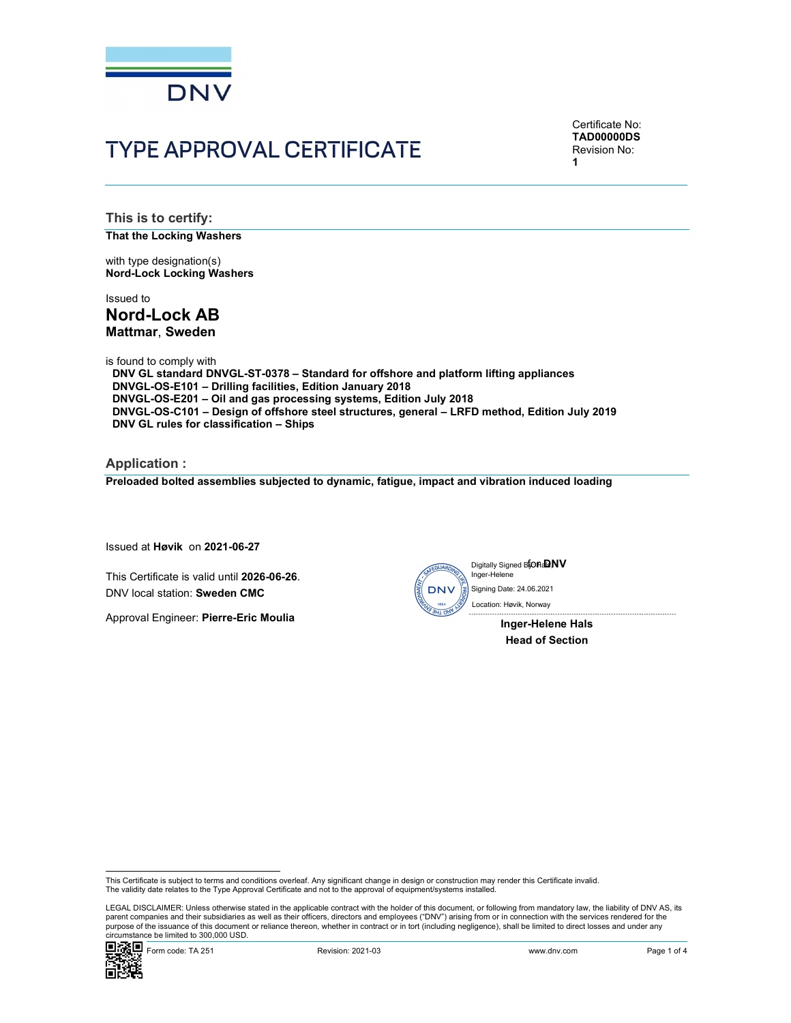

# TYPE APPROVAL CERTIFICATE

Certificate No: TAD00000DS Revision No: 1

This is to certify: That the Locking Washers

with type designation(s) Nord-Lock Locking Washers

Issued to Nord-Lock AB Mattmar, Sweden

is found to comply with

DNV GL standard DNVGL-ST-0378 – Standard for offshore and platform lifting appliances DNVGL-OS-E101 – Drilling facilities, Edition January 2018 DNVGL-OS-E201 – Oil and gas processing systems, Edition July 2018 DNVGL-OS-C101 – Design of offshore steel structures, general – LRFD method, Edition July 2019 DNV GL rules for classification – Ships

Application :

Preloaded bolted assemblies subjected to dynamic, fatigue, impact and vibration induced loading

Issued at Høvik on 2021-06-27

This Certificate is valid until 2026-06-26. DNV local station: Sweden CMC

Approval Engineer: Pierre-Eric Moulia

Digitally Signed Bional  $\mathsf{MV}$  Location: Høvik, NorwayInger-Helene Signing Date: 24.06.2021

> Inger-Helene Hals Head of Section

 LEGAL DISCLAIMER: Unless otherwise stated in the applicable contract with the holder of this document, or following from mandatory law, the liability of DNV AS, its parent companies and their subsidiaries as well as their officers, directors and employees ("DNV") arising from or in connection with the services rendered for the purpose of the issuance of this document or reliance thereon, whether in contract or in tort (including negligence), shall be limited to direct losses and under any circumstance be limited to 300,000 USD.



This Certificate is subject to terms and conditions overleaf. Any significant change in design or construction may render this Certificate invalid. The validity date relates to the Type Approval Certificate and not to the approval of equipment/systems installed.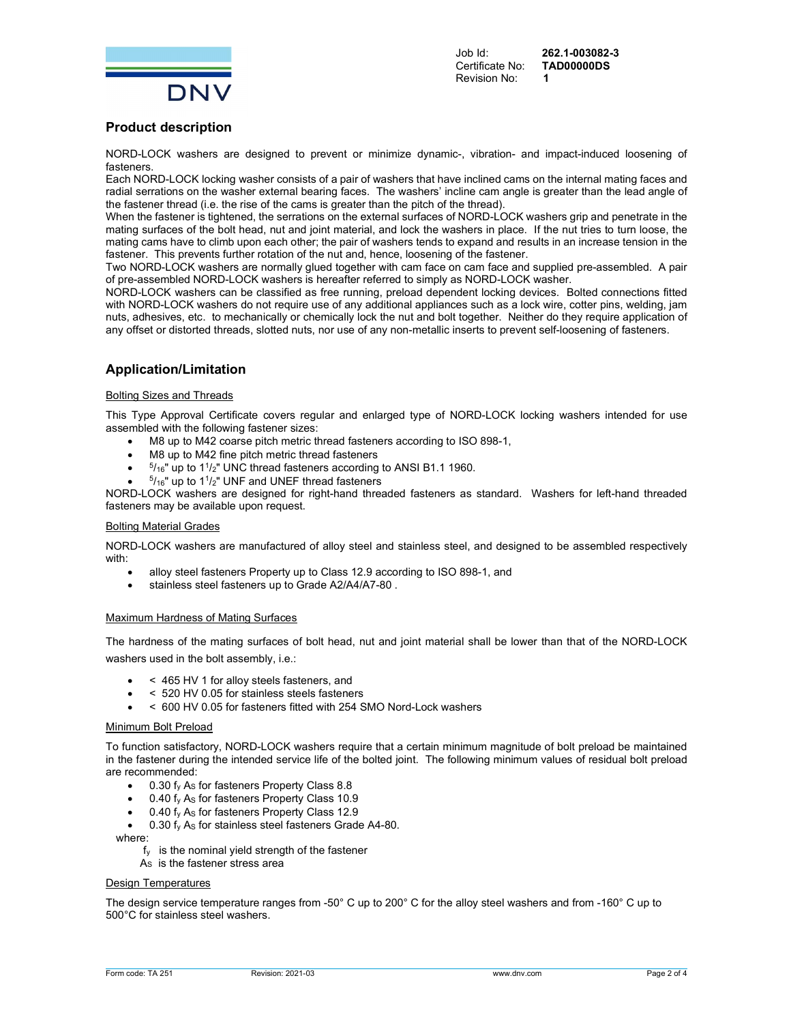

Job Id: **262.1-003082-3**<br>Certificate No: **TAD00000DS** Revision No: 1

Certificate No: TAD00000DS

## Product description

NORD-LOCK washers are designed to prevent or minimize dynamic-, vibration- and impact-induced loosening of fasteners.

Each NORD-LOCK locking washer consists of a pair of washers that have inclined cams on the internal mating faces and radial serrations on the washer external bearing faces. The washers' incline cam angle is greater than the lead angle of the fastener thread (i.e. the rise of the cams is greater than the pitch of the thread).

When the fastener is tightened, the serrations on the external surfaces of NORD-LOCK washers grip and penetrate in the mating surfaces of the bolt head, nut and joint material, and lock the washers in place. If the nut tries to turn loose, the mating cams have to climb upon each other; the pair of washers tends to expand and results in an increase tension in the fastener. This prevents further rotation of the nut and, hence, loosening of the fastener.

Two NORD-LOCK washers are normally glued together with cam face on cam face and supplied pre-assembled. A pair of pre-assembled NORD-LOCK washers is hereafter referred to simply as NORD-LOCK washer.

NORD-LOCK washers can be classified as free running, preload dependent locking devices. Bolted connections fitted with NORD-LOCK washers do not require use of any additional appliances such as a lock wire, cotter pins, welding, jam nuts, adhesives, etc. to mechanically or chemically lock the nut and bolt together. Neither do they require application of any offset or distorted threads, slotted nuts, nor use of any non-metallic inserts to prevent self-loosening of fasteners.

# Application/Limitation

## Bolting Sizes and Threads

This Type Approval Certificate covers regular and enlarged type of NORD-LOCK locking washers intended for use assembled with the following fastener sizes:

- M8 up to M42 coarse pitch metric thread fasteners according to ISO 898-1,
- M8 up to M42 fine pitch metric thread fasteners
- $\bullet$  $5/16"$  up to  $11/2"$  UNC thread fasteners according to ANSI B1.1 1960.
- $\bullet$  $5/16$ " up to  $11/2$ " UNF and UNEF thread fasteners

NORD-LOCK washers are designed for right-hand threaded fasteners as standard. Washers for left-hand threaded fasteners may be available upon request.

## Bolting Material Grades

NORD-LOCK washers are manufactured of alloy steel and stainless steel, and designed to be assembled respectively with:

- alloy steel fasteners Property up to Class 12.9 according to ISO 898-1, and
- stainless steel fasteners up to Grade A2/A4/A7-80 .

#### Maximum Hardness of Mating Surfaces

The hardness of the mating surfaces of bolt head, nut and joint material shall be lower than that of the NORD-LOCK washers used in the bolt assembly, i.e.:

- < 465 HV 1 for alloy steels fasteners, and
- < 520 HV 0.05 for stainless steels fasteners
- < 600 HV 0.05 for fasteners fitted with 254 SMO Nord-Lock washers

#### Minimum Bolt Preload

To function satisfactory, NORD-LOCK washers require that a certain minimum magnitude of bolt preload be maintained in the fastener during the intended service life of the bolted joint. The following minimum values of residual bolt preload are recommended:

- 0.30 fy AS for fasteners Property Class 8.8
- 0.40 f<sub>v</sub> A<sub>s</sub> for fasteners Property Class 10.9
- 0.40 f<sub>y</sub> As for fasteners Property Class 12.9
- 0.30 f<sub>y</sub> As for stainless steel fasteners Grade A4-80.

where:

fy is the nominal yield strength of the fastener

As is the fastener stress area

#### Design Temperatures

The design service temperature ranges from -50° C up to 200° C for the alloy steel washers and from -160° C up to 500°C for stainless steel washers.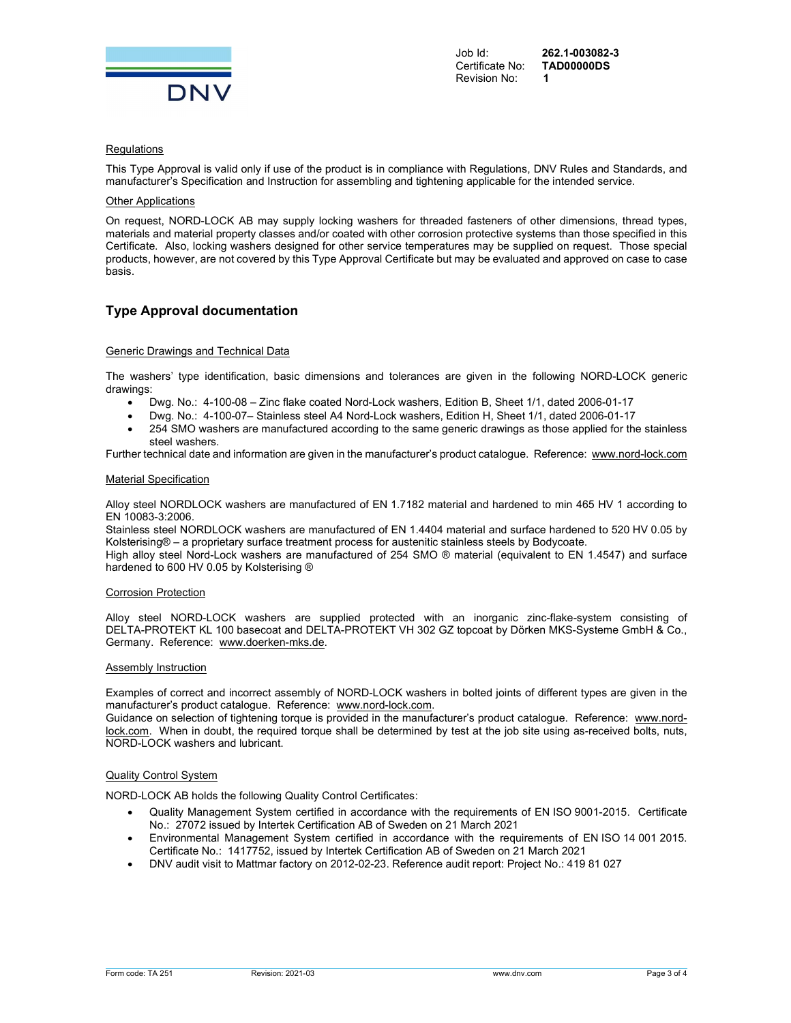

Job Id: **262.1-003082-3**<br>Certificate No: **TAD00000DS** Revision No: 1

Certificate No: TAD00000DS

## **Regulations**

This Type Approval is valid only if use of the product is in compliance with Regulations, DNV Rules and Standards, and manufacturer's Specification and Instruction for assembling and tightening applicable for the intended service.

## Other Applications

On request, NORD-LOCK AB may supply locking washers for threaded fasteners of other dimensions, thread types, materials and material property classes and/or coated with other corrosion protective systems than those specified in this Certificate. Also, locking washers designed for other service temperatures may be supplied on request. Those special products, however, are not covered by this Type Approval Certificate but may be evaluated and approved on case to case basis.

# Type Approval documentation

## Generic Drawings and Technical Data

The washers' type identification, basic dimensions and tolerances are given in the following NORD-LOCK generic drawings:

- Dwg. No.: 4-100-08 Zinc flake coated Nord-Lock washers, Edition B, Sheet 1/1, dated 2006-01-17
- Dwg. No.: 4-100-07– Stainless steel A4 Nord-Lock washers, Edition H, Sheet 1/1, dated 2006-01-17
- 254 SMO washers are manufactured according to the same generic drawings as those applied for the stainless steel washers.

Further technical date and information are given in the manufacturer's product catalogue. Reference: www.nord-lock.com

## Material Specification

Alloy steel NORDLOCK washers are manufactured of EN 1.7182 material and hardened to min 465 HV 1 according to EN 10083-3:2006.

Stainless steel NORDLOCK washers are manufactured of EN 1.4404 material and surface hardened to 520 HV 0.05 by Kolsterising® – a proprietary surface treatment process for austenitic stainless steels by Bodycoate.

High alloy steel Nord-Lock washers are manufactured of 254 SMO ® material (equivalent to EN 1.4547) and surface hardened to 600 HV 0.05 by Kolsterising ®

## Corrosion Protection

Alloy steel NORD-LOCK washers are supplied protected with an inorganic zinc-flake-system consisting of DELTA-PROTEKT KL 100 basecoat and DELTA-PROTEKT VH 302 GZ topcoat by Dörken MKS-Systeme GmbH & Co., Germany. Reference: www.doerken-mks.de.

## **Assembly Instruction**

Examples of correct and incorrect assembly of NORD-LOCK washers in bolted joints of different types are given in the manufacturer's product catalogue. Reference: www.nord-lock.com.

Guidance on selection of tightening torque is provided in the manufacturer's product catalogue. Reference: www.nordlock.com. When in doubt, the required torque shall be determined by test at the job site using as-received bolts, nuts, NORD-LOCK washers and lubricant.

## Quality Control System

NORD-LOCK AB holds the following Quality Control Certificates:

- Quality Management System certified in accordance with the requirements of EN ISO 9001-2015. Certificate No.: 27072 issued by Intertek Certification AB of Sweden on 21 March 2021
- Environmental Management System certified in accordance with the requirements of EN ISO 14 001 2015. Certificate No.: 1417752, issued by Intertek Certification AB of Sweden on 21 March 2021
- DNV audit visit to Mattmar factory on 2012-02-23. Reference audit report: Project No.: 419 81 027